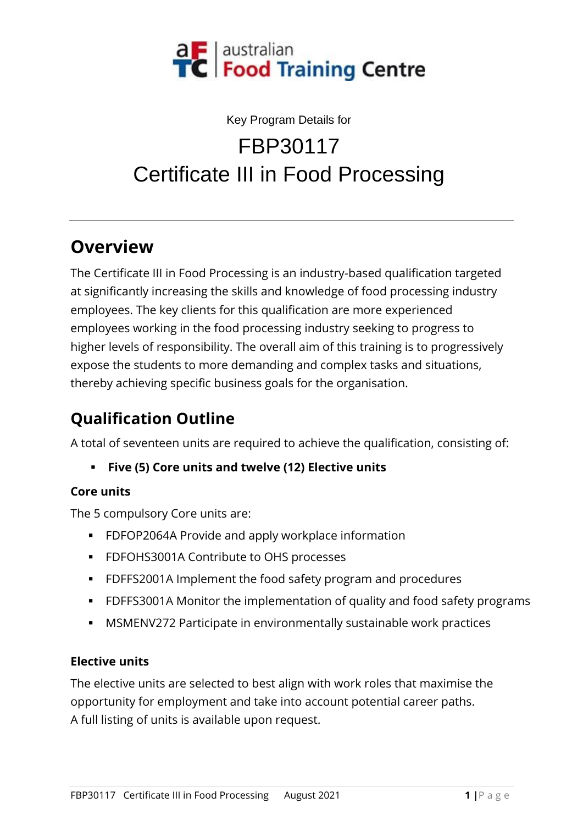

# Key Program Details for FBP30117 Certificate III in Food Processing

### **Overview**

The Certificate III in Food Processing is an industry-based qualification targeted at significantly increasing the skills and knowledge of food processing industry employees. The key clients for this qualification are more experienced employees working in the food processing industry seeking to progress to higher levels of responsibility. The overall aim of this training is to progressively expose the students to more demanding and complex tasks and situations, thereby achieving specific business goals for the organisation.

# **Qualification Outline**

A total of seventeen units are required to achieve the qualification, consisting of:

▪ **Five (5) Core units and twelve (12) Elective units**

#### **Core units**

The 5 compulsory Core units are:

- FDFOP2064A Provide and apply workplace information
- FDFOHS3001A Contribute to OHS processes
- FDFFS2001A Implement the food safety program and procedures
- FDFFS3001A Monitor the implementation of quality and food safety programs
- **MSMENV272 Participate in environmentally sustainable work practices**

#### **Elective units**

The elective units are selected to best align with work roles that maximise the opportunity for employment and take into account potential career paths. A full listing of units is available upon request.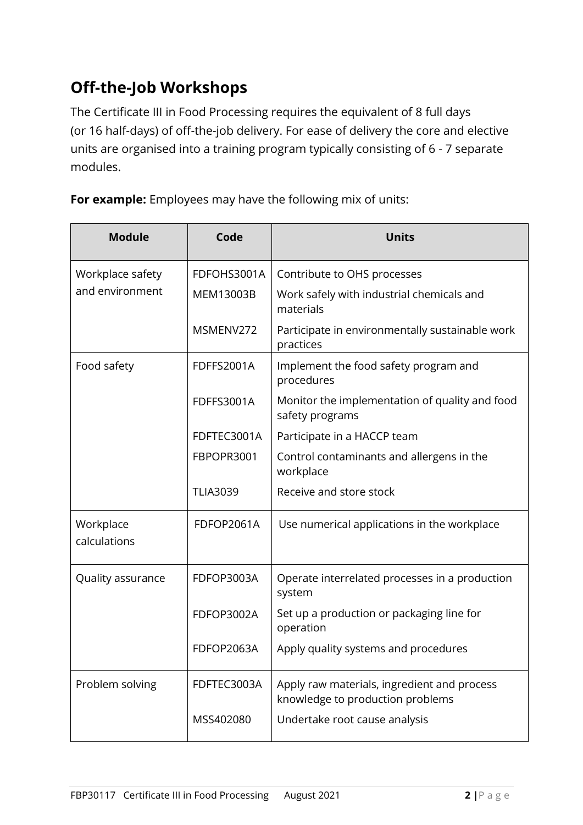# **Off-the-Job Workshops**

The Certificate III in Food Processing requires the equivalent of 8 full days (or 16 half-days) of off-the-job delivery. For ease of delivery the core and elective units are organised into a training program typically consisting of 6 - 7 separate modules.

**For example:** Employees may have the following mix of units:

| <b>Module</b>                       | Code              | <b>Units</b>                                                                    |
|-------------------------------------|-------------------|---------------------------------------------------------------------------------|
| Workplace safety<br>and environment | FDFOHS3001A       | Contribute to OHS processes                                                     |
|                                     | MEM13003B         | Work safely with industrial chemicals and<br>materials                          |
|                                     | MSMENV272         | Participate in environmentally sustainable work<br>practices                    |
| Food safety                         | FDFFS2001A        | Implement the food safety program and<br>procedures                             |
|                                     | <b>FDFFS3001A</b> | Monitor the implementation of quality and food<br>safety programs               |
|                                     | FDFTEC3001A       | Participate in a HACCP team                                                     |
|                                     | FBPOPR3001        | Control contaminants and allergens in the<br>workplace                          |
|                                     | <b>TLIA3039</b>   | Receive and store stock                                                         |
| Workplace<br>calculations           | FDFOP2061A        | Use numerical applications in the workplace                                     |
| Quality assurance                   | FDFOP3003A        | Operate interrelated processes in a production<br>system                        |
|                                     | FDFOP3002A        | Set up a production or packaging line for<br>operation                          |
|                                     | FDFOP2063A        | Apply quality systems and procedures                                            |
| Problem solving                     | FDFTEC3003A       | Apply raw materials, ingredient and process<br>knowledge to production problems |
|                                     | MSS402080         | Undertake root cause analysis                                                   |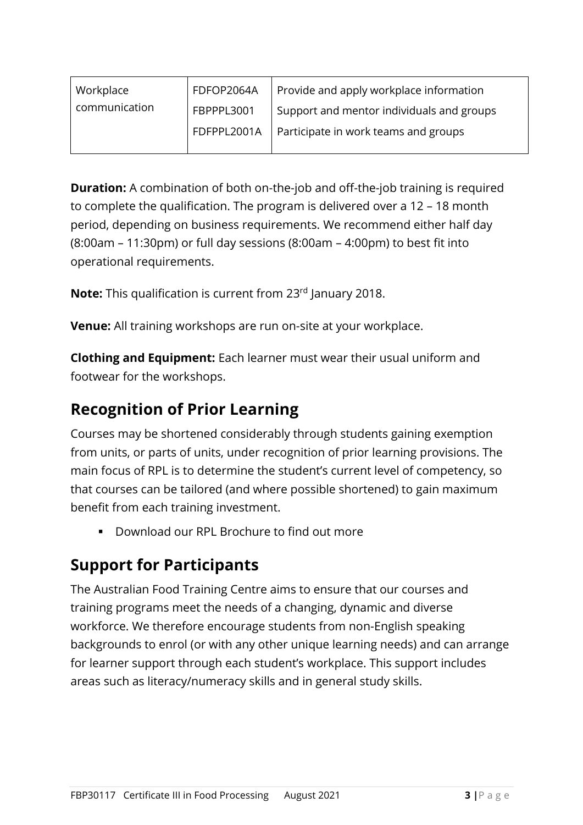| Workplace     | FDFOP2064A  | Provide and apply workplace information   |
|---------------|-------------|-------------------------------------------|
| communication | FBPPPL3001  | Support and mentor individuals and groups |
|               | FDFPPL2001A | Participate in work teams and groups      |
|               |             |                                           |

**Duration:** A combination of both on-the-job and off-the-job training is required to complete the qualification. The program is delivered over a 12 – 18 month period, depending on business requirements. We recommend either half day (8:00am – 11:30pm) or full day sessions (8:00am – 4:00pm) to best fit into operational requirements.

**Note:** This qualification is current from 23rd January 2018.

**Venue:** All training workshops are run on-site at your workplace.

**Clothing and Equipment:** Each learner must wear their usual uniform and footwear for the workshops.

### **Recognition of Prior Learning**

Courses may be shortened considerably through students gaining exemption from units, or parts of units, under recognition of prior learning provisions. The main focus of RPL is to determine the student's current level of competency, so that courses can be tailored (and where possible shortened) to gain maximum benefit from each training investment.

Download our RPL Brochure to find out more

## **Support for Participants**

The Australian Food Training Centre aims to ensure that our courses and training programs meet the needs of a changing, dynamic and diverse workforce. We therefore encourage students from non-English speaking backgrounds to enrol (or with any other unique learning needs) and can arrange for learner support through each student's workplace. This support includes areas such as literacy/numeracy skills and in general study skills.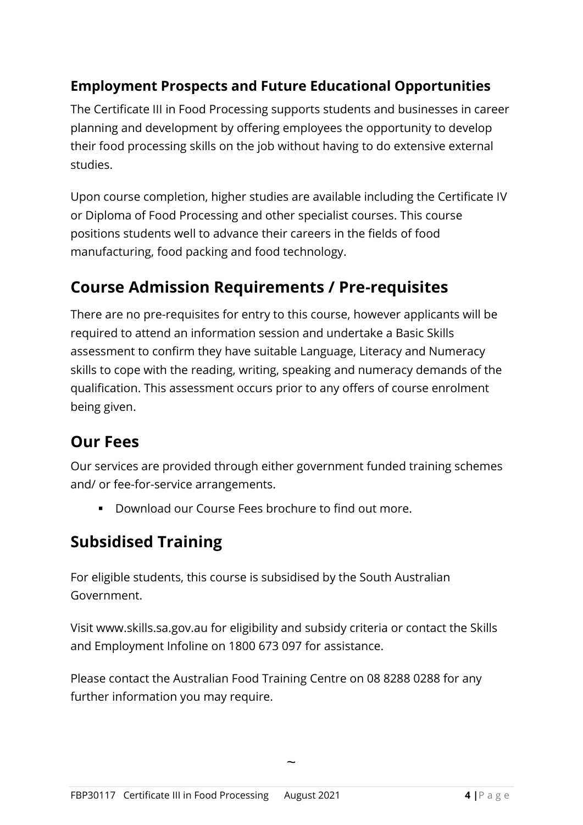#### **Employment Prospects and Future Educational Opportunities**

The Certificate III in Food Processing supports students and businesses in career planning and development by offering employees the opportunity to develop their food processing skills on the job without having to do extensive external studies.

Upon course completion, higher studies are available including the Certificate IV or Diploma of Food Processing and other specialist courses. This course positions students well to advance their careers in the fields of food manufacturing, food packing and food technology.

### **Course Admission Requirements / Pre-requisites**

There are no pre-requisites for entry to this course, however applicants will be required to attend an information session and undertake a Basic Skills assessment to confirm they have suitable Language, Literacy and Numeracy skills to cope with the reading, writing, speaking and numeracy demands of the qualification. This assessment occurs prior to any offers of course enrolment being given.

### **Our Fees**

Our services are provided through either government funded training schemes and/ or fee-for-service arrangements.

▪ Download our Course Fees brochure to find out more.

# **Subsidised Training**

For eligible students, this course is subsidised by the South Australian Government.

Visit www.skills.sa.gov.au for eligibility and subsidy criteria or contact the Skills and Employment Infoline on 1800 673 097 for assistance.

Please contact the Australian Food Training Centre on 08 8288 0288 for any further information you may require.

 $\ddot{\phantom{0}}$